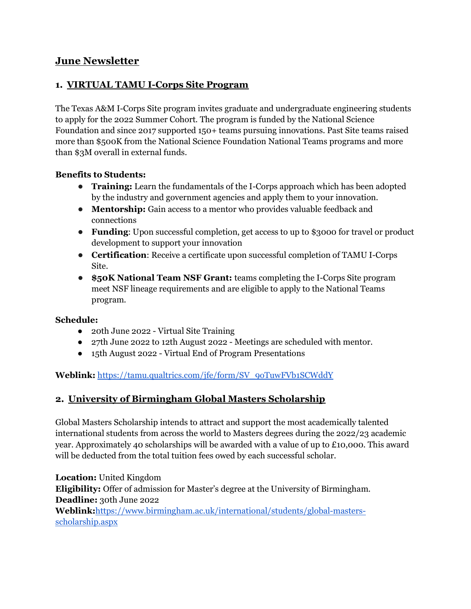# June Newsletter

## 1. VIRTUAL TAMU I-Corps Site Program

The Texas A&M I-Corps Site program invites graduate and undergraduate engineering students to apply for the 2022 Summer Cohort. The program is funded by the National Science Foundation and since 2017 supported 150+ teams pursuing innovations. Past Site teams raised more than \$500K from the National Science Foundation National Teams programs and more than \$3M overall in external funds.

#### Benefits to Students:

- Training: Learn the fundamentals of the I-Corps approach which has been adopted by the industry and government agencies and apply them to your innovation.
- Mentorship: Gain access to a mentor who provides valuable feedback and connections
- Funding: Upon successful completion, get access to up to \$3000 for travel or product development to support your innovation
- Certification: Receive a certificate upon successful completion of TAMU I-Corps Site.
- \$50K National Team NSF Grant: teams completing the I-Corps Site program meet NSF lineage requirements and are eligible to apply to the National Teams program.

#### Schedule:

- 20th June 2022 Virtual Site Training
- 27th June 2022 to 12th August 2022 Meetings are scheduled with mentor.
- 15th August 2022 Virtual End of Program Presentations

#### Weblink: https://tamu.qualtrics.com/jfe/form/SV\_9oTuwFVb1SCWddY

### 2. University of Birmingham Global Masters Scholarship

Global Masters Scholarship intends to attract and support the most academically talented international students from across the world to Masters degrees during the 2022/23 academic year. Approximately 40 scholarships will be awarded with a value of up to £10,000. This award will be deducted from the total tuition fees owed by each successful scholar.

Location: United Kingdom Eligibility: Offer of admission for Master's degree at the University of Birmingham. Deadline: 30th June 2022 Weblink:https://www.birmingham.ac.uk/international/students/global-mastersscholarship.aspx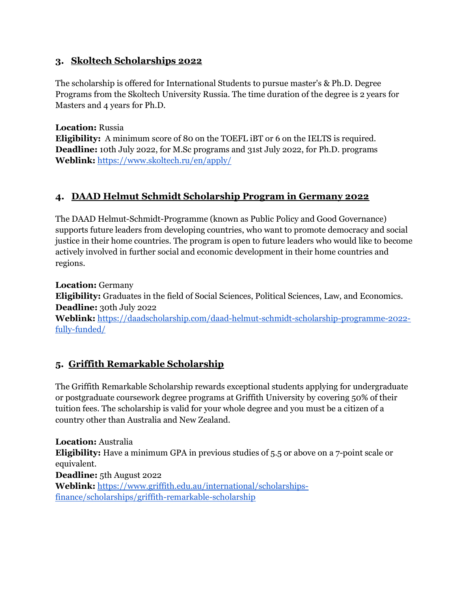### 3. Skoltech Scholarships 2022

The scholarship is offered for International Students to pursue master's & Ph.D. Degree Programs from the Skoltech University Russia. The time duration of the degree is 2 years for Masters and 4 years for Ph.D.

Location: Russia

Eligibility: A minimum score of 80 on the TOEFL iBT or 6 on the IELTS is required. Deadline: 10th July 2022, for M.Sc programs and 31st July 2022, for Ph.D. programs Weblink: https://www.skoltech.ru/en/apply/

## 4. DAAD Helmut Schmidt Scholarship Program in Germany 2022

The DAAD Helmut-Schmidt-Programme (known as Public Policy and Good Governance) supports future leaders from developing countries, who want to promote democracy and social justice in their home countries. The program is open to future leaders who would like to become actively involved in further social and economic development in their home countries and regions.

Location: Germany Eligibility: Graduates in the field of Social Sciences, Political Sciences, Law, and Economics. Deadline: 30th July 2022 Weblink: https://daadscholarship.com/daad-helmut-schmidt-scholarship-programme-2022-

fully-funded/

# 5. Griffith Remarkable Scholarship

The Griffith Remarkable Scholarship rewards exceptional students applying for undergraduate or postgraduate coursework degree programs at Griffith University by covering 50% of their tuition fees. The scholarship is valid for your whole degree and you must be a citizen of a country other than Australia and New Zealand.

Location: Australia Eligibility: Have a minimum GPA in previous studies of 5.5 or above on a 7-point scale or equivalent. Deadline: 5th August 2022 Weblink: https://www.griffith.edu.au/international/scholarshipsfinance/scholarships/griffith-remarkable-scholarship